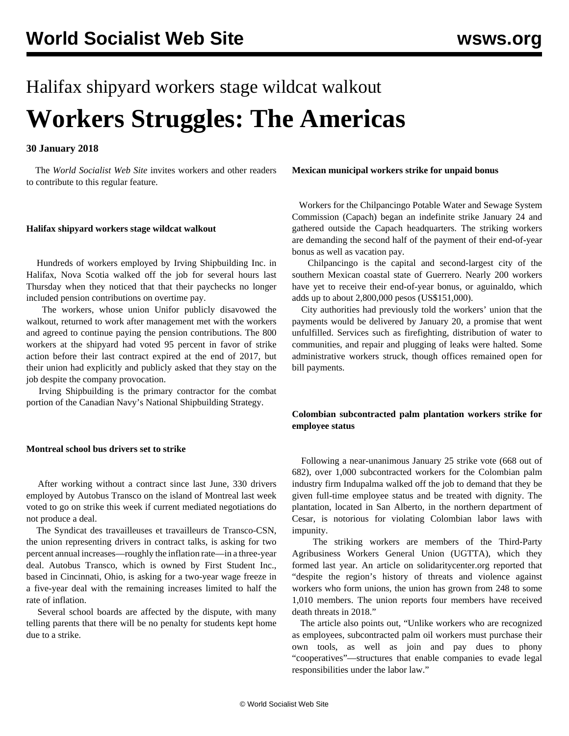# Halifax shipyard workers stage wildcat walkout **Workers Struggles: The Americas**

# **30 January 2018**

 The *World Socialist Web Site* invites workers and other readers to contribute to this regular feature.

#### **Halifax shipyard workers stage wildcat walkout**

 Hundreds of workers employed by Irving Shipbuilding Inc. in Halifax, Nova Scotia walked off the job for several hours last Thursday when they noticed that that their paychecks no longer included pension contributions on overtime pay.

 The workers, whose union Unifor publicly disavowed the walkout, returned to work after management met with the workers and agreed to continue paying the pension contributions. The 800 workers at the shipyard had voted 95 percent in favor of strike action before their last contract expired at the end of 2017, but their union had explicitly and publicly asked that they stay on the job despite the company provocation.

 Irving Shipbuilding is the primary contractor for the combat portion of the Canadian Navy's National Shipbuilding Strategy.

## **Montreal school bus drivers set to strike**

 After working without a contract since last June, 330 drivers employed by Autobus Transco on the island of Montreal last week voted to go on strike this week if current mediated negotiations do not produce a deal.

 The Syndicat des travailleuses et travailleurs de Transco-CSN, the union representing drivers in contract talks, is asking for two percent annual increases—roughly the inflation rate—in a three-year deal. Autobus Transco, which is owned by First Student Inc., based in Cincinnati, Ohio, is asking for a two-year wage freeze in a five-year deal with the remaining increases limited to half the rate of inflation.

 Several school boards are affected by the dispute, with many telling parents that there will be no penalty for students kept home due to a strike.

#### **Mexican municipal workers strike for unpaid bonus**

 Workers for the Chilpancingo Potable Water and Sewage System Commission (Capach) began an indefinite strike January 24 and gathered outside the Capach headquarters. The striking workers are demanding the second half of the payment of their end-of-year bonus as well as vacation pay.

 Chilpancingo is the capital and second-largest city of the southern Mexican coastal state of Guerrero. Nearly 200 workers have yet to receive their end-of-year bonus, or aguinaldo, which adds up to about 2,800,000 pesos (US\$151,000).

 City authorities had previously told the workers' union that the payments would be delivered by January 20, a promise that went unfulfilled. Services such as firefighting, distribution of water to communities, and repair and plugging of leaks were halted. Some administrative workers struck, though offices remained open for bill payments.

# **Colombian subcontracted palm plantation workers strike for employee status**

 Following a near-unanimous January 25 strike vote (668 out of 682), over 1,000 subcontracted workers for the Colombian palm industry firm Indupalma walked off the job to demand that they be given full-time employee status and be treated with dignity. The plantation, located in San Alberto, in the northern department of Cesar, is notorious for violating Colombian labor laws with impunity.

 The striking workers are members of the Third-Party Agribusiness Workers General Union (UGTTA), which they formed last year. An article on solidaritycenter.org reported that "despite the region's history of threats and violence against workers who form unions, the union has grown from 248 to some 1,010 members. The union reports four members have received death threats in 2018."

 The article also points out, "Unlike workers who are recognized as employees, subcontracted palm oil workers must purchase their own tools, as well as join and pay dues to phony "cooperatives"—structures that enable companies to evade legal responsibilities under the labor law."